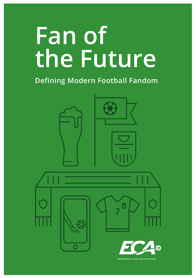# **Fan of the Future**

# **Defining Modern Football Fandom**





EUROPEAN CLUB ASSOCIATION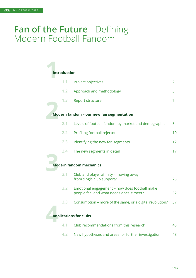# **Fan of the Future** - Defining Modern Football Fandom

# **1**<br>11 **Introduction**

|     | 1.1 Project objectives                              | 2  |
|-----|-----------------------------------------------------|----|
| 1.2 | Approach and methodology                            | 3  |
| 1.3 | Report structure                                    |    |
|     | Modern fandom - our new fan segmentation            |    |
| 2.1 | Levels of football fandom by market and demographic | 8  |
|     | 2.2 Profiling football rejectors                    | 10 |
| 2.3 | Identifying the new fan segments                    | 12 |
|     | 2.4 The new segments in detail                      | 17 |
|     |                                                     |    |
|     | <b>Modern fandom mechanics</b>                      |    |
| 3.1 | Club and player affinity – moving away              |    |

| 3.1 | Club and player affinity – moving away<br>from single club support?                       | 25 |
|-----|-------------------------------------------------------------------------------------------|----|
| 3.2 | Emotional engagement – how does football make<br>people feel and what needs does it meet? | 32 |
| 3.3 | Consumption – more of the same, or a digital revolution?                                  | 37 |
|     | <b>Implications for clubs</b>                                                             |    |
|     | Club recommendations from this research                                                   | 45 |

| 4.1 Club recommendations from this research            | 45  |
|--------------------------------------------------------|-----|
| 4.2 New hypotheses and areas for further investigation | 48. |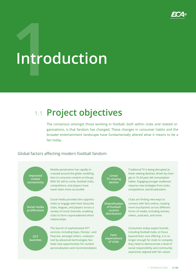

# **1**<br>
1ntro **Introduction**

# **Project objectives 1.1**

The consensus amongst those working in football, both within clubs and related organisations, is that fandom has changed. These changes in consumer habits and the broader entertainment landscape have fundamentally altered what it means to be a fan today.

### Global factors affecting modern football fandom



Traditional TV is being disrupted as linear viewing declines, driven by changes in 16-24-year old consumption habits. Engaging younger audiences requires new strategies from clubs, competitions, and broadcasters

Clubs are finding new ways to connect with fans online, creating more touchpoints across different forms of media, including articles, videos, podcasts, and more

Consumers today expect brands, including football clubs, to focus beyond their core offering. It is no longer enough for clubs to compete; they need to demonstrate a level of social responsibility and community awareness aligned with fan values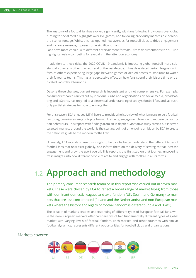The anatomy of a football fan has evolved significantly; with fans following individuals over clubs, turning to social media highlights over live games, and following previously inaccessible behindthe-scenes footage. Whilst this has opened new avenues for football clubs to drive engagement and increase revenue, it poses some significant risks.

Fans have more choice, with different entertainment formats – from documentaries to YouTube highlights reels - competing for eyeballs in the attention economy.

In addition to these risks, the 2020 COVID-19 pandemic is impacting global football more substantially than any other market trend of the last decade. It has devastated certain leagues, with fans of others experiencing large gaps between games or denied access to stadiums to watch their favourite teams. This has a repercussive effect on how fans spend their leisure time or dedicated Saturday afternoons.

Despite these changes, current research is inconsistent and not comprehensive. For example, consumer research carried out by individual clubs and organisations on social media, broadcasting and eSports, has only led to a piecemeal understanding of today's football fan, and, as such, only partial strategies for how to engage them.

For this reason, ECA engaged MTM Sport to provide a holistic view of what it means to be a football fan today, covering a range of topics from club affinity, engagement levels, and modern consumption behaviours. This report, with findings from an in-depth quantitative study carried out in seven targeted markets around the world, is the starting point of an ongoing ambition by ECA to create the definitive guide to the modern football fan.

Ultimately, ECA intends to use this insight to help clubs better understand the different types of football fans that now exist globally, and inform them on the delivery of strategies that increase engagement and grow the sport overall. This report is the first step on that journey, uncovering fresh insights into how different people relate to and engage with football in all its forms.

# **1.2 Approach and methodology**

kets that are less concentrated (Poland and the Netherlands), and non-European mar-The primary consumer research featured in this report was carried out in seven markets. These were chosen by ECA to reflect a broad range of market types; from those with dominant domestic leagues and avid fandom (UK, Spain, and Germany) to markets where the history and legacy of football fandom is different (India and Brazil).

market with varying levels of football fandom. Each market, and other countries with similar The breadth of markets enables understanding of different types of European football fans, while the non-European markets offer comparisons of two fundamentally different types of global football dynamics, represents different opportunities for football clubs and organisations.

# UK DE NL IN BR ES DE PL

#### Markets covered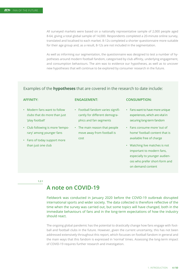All surveyed markets were based on a nationally representative sample of 2,000 people aged 8-64, giving a total global sample of 14,000. Respondents completed a 20-minute online survey, translated and localised to each market. 8-12s completed a shorter questionnaire more suitable for their age group and, as a result, 8-12s are not included in the segmentation.

As well as informing our segmentation, the questionnaire was designed to test a number of hypotheses around modern football fandom, categorised by club affinity, underlying engagement, and consumption behaviours. The aim was to evidence our hypotheses, as well as to uncover new hypotheses that will continue to be explored by consumer research in the future.

#### Examples of the **hypotheses** that are covered in the research to date include:

#### **AFFINITY:**

#### **ENGAGEMENT:**

- Modern fans want to follow clubs that do more than just 'play football'
- Club following is more 'temporary' among younger fans
- Fans of today support more than just one club
- Football fandom varies significantly for different demographics and fan segments
- The main reason that people move away from football is cost

#### **CONSUMPTION:**

- Fans want to have more unique experiences, which are vital in securing long-term fandom
- Fans consume more 'out of home' football content that is available free of charge
- Watching live matches is not important to modern fans, especially to younger audiences who prefer short-form and on demand content

**1.2.1**

# **A note on COVID-19**

Fieldwork was conducted in January 2020 before the COVID-19 outbreak disrupted international sports and wider society. The data collected is therefore reflective of the time when the survey was carried out, but some topics will have changed, both in the immediate behaviours of fans and in the long-term expectations of how the industry should react.

The ongoing global pandemic has the potential to drastically change how fans engage with football and football clubs in the future. However, given the current uncertainty, this has not been addressed extensively throughout this report, which focusses on football fandom in general and the main ways that this fandom is expressed in 'normal' times. Assessing the long-term impact of COVID-19 requires further research and investigation.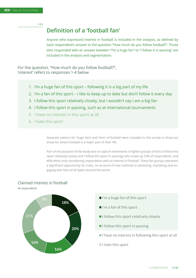**1.2.2**

## **Definition of a 'football fan'**

Anyone who expressed interest in football is included in the analysis, as defined by each respondent's answer to the question "How much do you follow football?". Those who responded with an answer between "I'm a huge fan" to "I follow it in passing" are included in the analysis and segmentation.

For the question, "How much do you follow football?", 'interest' refers to responses 1-4 below

- 1. I'm a huge fan of this sport following it is a big part of my life
- 2. I'm a fan of this sport I like to keep up to date but don't follow it every day
- 3. I follow this sport relatively closely, but I wouldn't say I am a big fan
- 4. I follow this sport in passing, such as at international tournaments
- 5. I have no interest in this sport at all
- 6. I hate this sport

Separate options for 'huge fans' and 'fans' of football were included in the survey to draw out those for whom football is a major part of their life.

Part of the purpose of the study was to capture sentiments of lighter groups of fans (I follow this sport relatively closely and I follow this sport in passing), who make up 32% of respondents, and 46% when only considering respondents with an interest in football. These fan groups represent a significant opportunity for clubs, on account of new methods in attracting, marketing and engaging with fans of all types around the world.



#### Claimed interest in football

All respondents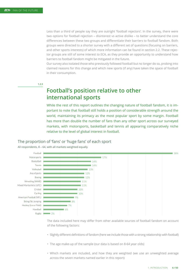Less than a third of people say they are outright 'football rejectors'. In the survey, there were two options for football rejection – disinterest vs active dislike – to better understand the core differences between these two groups and differentiate their barriers to football fandom. Both groups were directed to a shorter survey with a different set of questions (focusing on barriers, and other sports interests) of which more information can be found in section 2.2. These rejector groups are still of some interest to ECA, as they provide an opportunity to understand how barriers to football fandom might be mitigated in the future.

Our survey also isolated those who previously followed football but no longer do so, probing into claimed reasons for this change and which new sports (if any) have taken the space of football in their consumption.

#### **1.2.3**

# **Football's position relative to other international sports**

While the rest of this report outlines the changing nature of football fandom, it is important to note that football still holds a position of considerable strength around the world, maintaining its primacy as the most popular sport by some margin. Football has more than double the number of fans than any other sport across our surveyed markets, with motorsports, basketball and tennis all appearing comparatively niche relative to the level of global interest in football.

# The proportion of 'fans' or 'huge fans' of each sport





The data included here may differ from other available sources of football fandom on account of the following factors:

- Slightly different definitions of fandom (here we include those with a strong relationship with football)
- The age make-up of the sample (our data is based on 8-64 year olds)
- Which markets are included, and how they are weighted (we use an unweighted average across the seven markets named earlier in this report)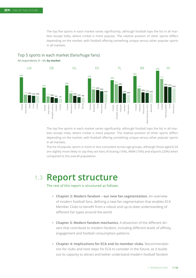The top five sports in each market varies significantly, although football tops the list in all markets except India, where cricket is more popular. The relative position of other sports differs depending on the market, with football offering something unique versus other popular sports in all markets.



# Top 5 sports in each market (fans/huge fans)

All respondents, 8 – 64, **by market** 

The top five sports in each market varies significantly, although football tops the list in all markets except India, where cricket is more popular. The relative position of other sports differs depending on the market, with football offering something unique versus other popular sports in all markets.

The list of popular sports is more or less consistent across age groups, although those aged 8-24 are slightly more likely to say they are fans of boxing (16%), MMA (16%) and eSports (20%) when compared to the overall population.

#### **1.3 Report structure**

The rest of this report is structured as follows:

- **• Chapter 2: Modern fandom our new fan segmentation.** An overview of modern football fans, defining a new fan segmentation that enables ECA Member Clubs to benefit from a robust and up-to-date understanding of different fan types around the world
- **• Chapter 3: Modern fandom mechanics**. A dissection of the different drivers that contribute to modern fandom, including different levels of affinity, engagement and football consumption patterns
- **• Chapter 4: Implications for ECA and its member clubs.** Recommendations for clubs and next steps for ECA to consider in the future, as it builds out its capacity to attract and better understand modern football fandom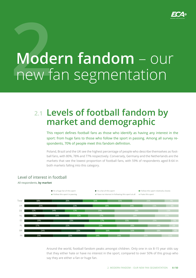

# **2 Modern fandom** – our new fan segmentation

# **Levels of football fandom by 2.1 market and demographic**

This report defines football fans as those who identify as having any interest in the sport: from huge fans to those who follow the sport in passing. Among all survey respondents, 70% of people meet this fandom definition.

Poland, Brazil and the UK see the highest percentage of people who describe themselves as football fans, with 80%, 78% and 77% respectively. Conversely, Germany and the Netherlands are the markets that see the lowest proportion of football fans, with 59% of respondents aged 8-64 in both markets falling into this category.

#### Level of interest in football

#### All respondents, **by market**



Around the world, football fandom peaks amongst children. Only one in six 8-15 year olds say that they either hate or have no interest in the sport, compared to over 50% of this group who say they are either a fan or huge fan.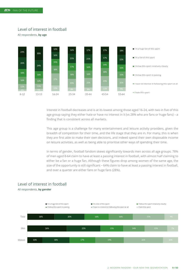Exhibit 6

## Level of interest in football Level of interest in football

All respondents, by age All respondents, **by age**



Interest in football decreases and is at its lowest among those aged 16-24, with two in five of this age group saying they either hate or have no interest in it (vs 28% who are fans or huge fans) – a finding that is consistent across all markets.

This age group is a challenge for many entertainment and leisure activity providers, given the breadth of competition for their time, and the life stage that they are in. For many, this is when they are first able to make their own decisions, and indeed spend their own disposable income on leisure activities, as well as being able to prioritise other ways of spending their time.

In terms of gender, football fandom skews significantly towards men across all age groups. 78% of men aged 8-64 claim to have at least a passing interest in football, with almost half claiming to either be a fan or a huge fan. Although these figures drop among women of the same age, the size of the opportunity is still significant – 64% claim to have at least a passing interest in football, and over a quarter are either fans or huge fans (28%).

### Level of interest in football

All respondents, **by gender** 

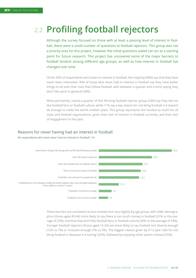# **2.2 Profiling football rejectors**

Although the survey focused on those with at least a passing level of interest in football, there were a small number of questions to football rejectors. This group was not a priority area for this project, however the initial questions asked can act as a starting point for future research. This project has uncovered some of the major barriers to football fandom among different age groups, as well as how interest in football has changed over time.

Of the 30% of respondents who have no interest in football, the majority (69%) say that they have never been interested. 40% of those who never had in interest in football say they have better things to do with their lives than follow football, with between a quarter and a third saying they don't like sport in general (29%).

More pertinently, nearly a quarter of this life-long football rejector group (24%) say they did not like football fans or football culture, while 11% say a key reason for not liking football is it doesn't do enough to make the world a better place. This group represents the hardest to reach for all clubs and football organisations, given their lack of interest in football currently, and their lack of engagement in the past.

# Reasons for never having had an interest in football



All respondents who have never had an interest in football, 13+

These barriers are consistent across markets but vary slightly by age group, with older demographics (those aged 45-64) more likely to say there is too much money in football (31% vs the average of 23%), and that they don't like football fans or football culture (30% vs the average of 24%). Younger football rejectors (those aged 13-24) are more likely to say football isn't diverse enough (12% vs 7%) or inclusive enough (7% vs 5%). The biggest reason given by 8-12 year olds for not liking football is 'because it is boring' (32%), followed by enjoying other sports instead (25%).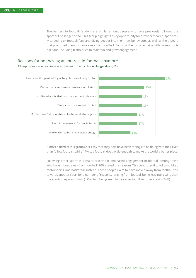The barriers to football fandom are similar among people who have previously followed the sport but no longer do so. This group highlights a key opportunity for further research, specifically targeting ex-football fans and diving deeper into their new behaviours, as well as the triggers that prompted them to move away from football. For now, the focus remains with current football fans, including techniques to maintain and grow engagement.

# Reasons for not having an interest in football anymore

All respondents who used to have an interest in football **but no longer do so**, 13+



Almost a third of this group (29%) say that they now have better things to be doing with their lives than follow football, while 17% say football doesn't do enough to make the world a better place.

Following other sports is a major reason for decreased engagement in football among those who have moved away from football (20% stated this reason). This cohort tend to follow cricket, motorsports, and basketball instead. These people claim to have moved away from football and towards another sport for a number of reasons, ranging from football being less interesting than the sports they now follow (42%), to it being seen to be easier to follow other sports (24%).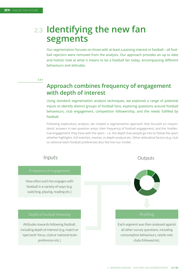# **2.3 Identifying the new fan segments**

Our segmentation focuses on those with at least a passing interest in football – all football rejectors were removed from the analysis. Our approach provides an up to date and holistic look at what it means to be a football fan today, encompassing different behaviours and attitudes.

**2.3.1** 

# **Approach combines frequency of engagement with depth of interest**

Using standard segmentation analysis techniques, we explored a range of potential inputs to identify distinct groups of football fans, exploring questions around football behaviours, club engagement, competition followership, and the needs fulfilled by football.

Following exploratory analysis, we created a segmentation approach that focused on respondents' answers in two question areas: their frequency of football engagement, and the 'intellectual engagement' they have with the sport – i.e. the depth that people go into to follow the sport whether highlights, full matches, memes, in-depth analysis etc. Other attitudinal factors (e.g. club vs national team football preference) also fed into our model.

How often each fan engages with football in a variety of ways (e.g. watching, playing, reading etc.)

Attitudes towards following football, including depth of interest (e.g. match or 'spectacle' focus, club or national team preference etc.)

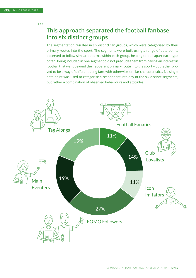**2.3.2** 

# **This approach separated the football fanbase into six distinct groups**

The segmentation resulted in six distinct fan groups, which were categorised by their primary routes into the sport. The segments were built using a range of data points observed to follow similar patterns within each group, helping to pull apart each type of fan. Being included in one segment did not preclude them from having an interest in football that went beyond their apparent primary route into the sport – but rather proved to be a way of differentiating fans with otherwise similar characteristics. No single data point was used to categorise a respondent into any of the six distinct segments, but rather a combination of observed behaviours and attitudes.

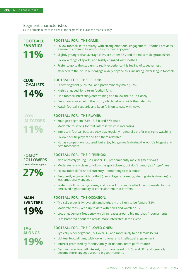#### Segment characteristics

(% in brackets refer to the size of the segment in European markets only)

# **11% FOOTBALL FANATICS**

#### **FOOTBALL FOR… THE GAME:**

- Follow football in its entirety, with strong emotional engagement football provides a sense of community which is key to their enjoyment
- Slightly younger than average (37% are under 35), and the most male group (69%)
- Follow a range of sports, and highly engaged with football
- Prefer to go to the stadium to really experience this feeling of togetherness
- Attached to their club but engage widely beyond this, including lower league football

#### **FOOTBALL FOR… THEIR CLUB:**

- Oldest segment (70% 35+) and predominantly male (66%)
- Highly engaged, long-term football fans
- Find football interesting/entertaining and follow their club closely
- Emotionally invested in their club, which helps provide their identity
- Watch football regularly and keep fully up to date with news

# **11% ICON IMITATORS**

**14%**

**LOYALISTS** 

**CLUB** 

#### **FOOTBALL FOR… THE PLAYER:**

- Youngest segment (53% 13-34) and 57% male
- Moderate to strong football interest, which is increasing
- Interest in football because they play regularly generally prefer playing to watching
- Follow specific players and find them relatable
- Not as competition focussed, but enjoy big games featuring the world's biggest and best footballers

#### **FOOTBALL FOR… THEIR FRIENDS:**

- Also relatively young (52% under 35), predominantly male segment (54%)
- Moderate fans claim to follow the sport closely, but don't identify as "huge" fans
- Follow football for social currency something to talk about
- Frequently engage with football (news, illegal streaming, sharing stories/memes) but less emotionally engaged
- Prefer to follow the big teams, and prefer European football over domestic for the perceived higher quality of entertainment that it offers

# **FOOTBALL FOR… THE OCCASION:**

- Typically older (64% over 35) and slightly more likely to be female (52%)
- Moderate fans keep up to date with news and watch on TV
- Low engagement frequency which increases around big matches / tournaments
- Less bothered about the result, more interested in the event

# **19% TAG ALONGS**

**19%**

**MAIN EVENTERS** 

#### **FOOTBALL FOR… THEIR LOVED ONES:**

- Typically older segment (65% over 35) and more likely to be female (59%)
- Lightest football fans, with low emotional and intellectual engagement
- Interest prompted by friends/family, or national team performance
- Despite lower football interest, most have heard of UCL and UEL and generally become more engaged around big tournaments

#### **FOMO\* FOLLOWERS \*'Fear of missing out'**

# **27%**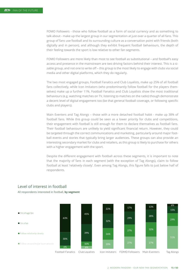FOMO Followers - those who follow football as a form of social currency and as something to talk about - make up the largest group in our segmentation at just over a quarter of all fans. This group of fans use football and its surrounding culture as a conversation point with friends (both digitally and in person), and although they exhibit frequent football behaviours, the depth of their feeling towards the sport is low relative to other fan segments.

FOMO Followers are more likely than most to see football as substitutional – and football's easy access and presence in the mainstream are two driving factors behind their interest. This is a sizable group, and not one to write off – this group is the most likely to engage with clubs via social media and other digital platforms, which they do regularly.

The two most engaged groups, Football Fanatics and Club Loyalists, make up 25% of all football fans collectively, while Icon Imitators (who predominantly follow football for the players themselves) make up a further 11%. Football Fanatics and Club Loyalists show the most traditional behaviours (e.g. watching matches on TV, listening to matches on the radio) though demonstrate a decent level of digital engagement too (be that general football coverage, or following specific clubs and players).

Main Eventers and Tag Alongs – those with a more detached football habit - make up 38% of football fans. While this group could be seen as a lower priority for clubs and competitions, their engagement with football is still enough for them to declare themselves as football fans. Their football behaviours are unlikely to yield significant financial return. However, they could be targeted through the correct communications and marketing, particularly around major football events and stories that typically bring larger audiences. These groups can also provide an interesting secondary market for clubs and retailers, as this group is likely to purchase for others with a higher engagement with the sport.

Despite the different engagement with football across these segments, it is important to note that the majority of fans in each segment (with the exception of Tag Alongs), claim to follow football at least 'relatively closely'. Even among Tag Alongs, this figure falls to just below half of respondents.



#### Level of interest in football

All respondents interested in football, by segment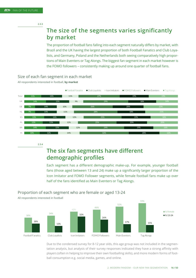# **The size of the segments varies significantly by market**

The proportion of football fans falling into each segment naturally differs by market, with Brazil and the UK having the largest proportion of both Football Fanatics and Club Loyalists, and Germany, Poland and the Netherlands both seeing comparatively high proportions of Main Eventers or Tag Alongs. The biggest fan segment in each market however is the FOMO followers – consistently making up around one quarter of football fans.

Size of each fan segment in each market

All respondents interested in football, **by market**



**2.3.4** 

# **The six fan segments have different demographic profiles**

Each segment has a different demographic make-up. For example, younger football fans (those aged between 13 and 24) make up a significantly larger proportion of the Icon Imitator and FOMO Follower segments, while female football fans make up over half of the fans identified as Main Eventers or Tag Alongs.

## Proportion of each segment who are female or aged 13-24



Due to the condensed survey for 8-12 year olds, this age group was not included in the segmentation analysis, but analysis of their survey responses indicated they have a strong affinity with players (often in helping to improve their own footballing skills), and more modern forms of football consumption e.g. social media, games, and online.



2. MODERN FANDOM – OUR NEW FAN SEGMENTATION

**16 / 50**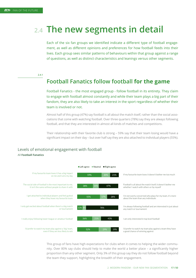# **2.4 The new segments in detail**

Each of the six fan groups we identified indicate a different type of football engagement, as well as different opinions and preferences for how football feeds into their lives. Each group sees similar patterns of behaviours within that group against a range of questions, as well as distinct characteristics and leanings versus other segments.

#### **2.4.1**

## **Football Fanatics follow football for the game**

Football Fanatics - the most engaged group - follow football in its entirety. They claim to engage with football almost constantly and while their team plays a big part of their fandom, they are also likely to take an interest in the sport regardless of whether their team is involved or not.

Almost half of this group (47%) say football is all about the match itself, rather than the social associations that come with watching football. Over three quarters (78%) say they are always following football, and that they are interested in almost all kinds of matches and competitions.

Their relationship with their favorite club is strong – 59% say that their team losing would have a significant impact on their day – but over half say they are also attached to individual players (55%).

## Levels of emotional engagement with football All **Football Fanatics**



This group of fans have high expectations for clubs when it comes to helping the wider community. Over 80% say clubs should help to make the world a better place – a significantly higher proportion than any other segment. Only 3% of this group say they do not follow football beyond the team they support, highlighting the breadth of their engagement.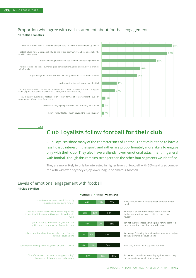#### Proportion who agree with each statement about football engagement Proportion who agree with each statement about football engagement All Football Fanatics All **Football Fanatics**



**2.4.2** 

# **Club Loyalists follow football for their club**

Club Loyalists share many of the characteristics of Football Fanatics but tend to have a less holistic interest in the sport, and rather are proportionately more likely to engage only with their club. They also have a slightly lower emotional attachment in general with football, though this remains stronger than the other four segments we identified.

They are more likely to only be interested in higher levels of football, with 56% saying so compared with 24% who say they enjoy lower league or amateur football.

## Levels of emotional engagement with football Levels of emotional engagement with football

#### All Club Loyalists All **Club Loyalists**

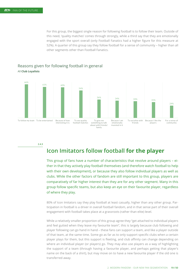For this group, the biggest single reason for following football is to follow their team. Outside of this need, 'quality matches' comes through strongly, while a third say that they are emotionally engaged with the sport overall (only Football Fanatics had a higher figure for this measure at 52%). A quarter of this group say they follow football for a sense of community – higher than all other segments other than Football Fanatics.





**2.4.3** 

# **Icon Imitators follow football for the player**

This group of fans have a number of characteristics that revolve around players – either in that they actively play football themselves (and therefore watch football to help with their own development), or because they also follow individual players as well as clubs. While the other factors of fandom are still important to this group, players are comparatively of far higher interest than they are for any other segment. Many in this group follow specific teams, but also keep an eye on their favourite player, regardless of where they play.

80% of Icon Imitators say they play football at least casually, higher than any other group. Participation in football is a driver in overall football fandom, and in that sense part of their overall engagement with football takes place at a grassroots (rather than elite) level.

While a relatively smaller proportion of this group agree they "get attached to individual players and feel gutted when they leave my favourite team", this is largely because club following and player following can go hand in hand – these fans can support a team, and like a player outside of that team, at the same time. Some go as far as to only support specific clubs when a certain player plays for them, but this support is fleeting, and club affinity can change depending on where an individual player (or players) go. They may also use players as a way of highlighting the support of a team (through having a favourite player, and perhaps getting that player's name on the back of a shirt), but may move on to have a new favourite player if the old one is transferred away.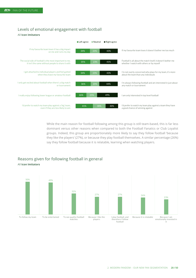### Levels of emotional engagement with football Levels of emotional engagement with football

#### All Icon Imitators All **Icon Imitators**



While the main reason for football following among this group is still team-based, this is far less dominant versus other reasons when compared to both the Football Fanatics or Club Loyalist groups. Indeed, this group are proportionately more likely to say they follow football 'because they like the players' (27%), or because they play football themselves. A similar percentage (26%) say they follow football because it is relatable, learning when watching players.

#### Reasons given for following football in general All **Icon Imitators**

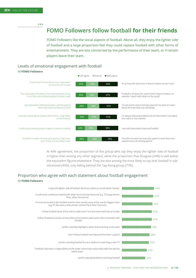**2.4.4** 

# **FOMO Followers follow football for their friends**

FOMO Followers like the social aspects of football. Above all, they enjoy the lighter side of football and a large proportion feel they could replace football with other forms of entertainment. They are less concerned by the performance of their team, or if certain players leave their team.

#### Levels of emotional engagement with football Levels of emotional engagement with football



At 44% agreement, the proportion of this group who say they enjoy the lighter side of football is higher than among any other segment, while the proportion that disagree (24%) is well below the equivalent figures elsewhere. They are also among the most likely to say that football is substitutional (43%), only falling behind the Tag Along group (77%).

#### Proportion who agree with each statement about football engagement Proportion who agree with each statement about football engagement All FOMO Followers All **FOMO Followers**

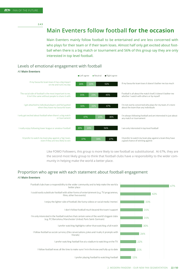**2.4.5** 

# **Main Eventers follow football for the occasion**

Main Eventers mainly follow football to be entertained and are less concerned with who plays for their team or if their team loses. Almost half only get excited about football when there is a big match or tournament and 56% of this group say they are only interested in top level football.

#### Levels of emotional engagement with football Levels of emotional engagement with football



Like FOMO Followers, this group is more likely to see football as substitutional. At 67%, they are the second most likely group to think that football clubs have a responsibility to the wider community in helping make the world a better place.

#### Proportion who agree with each statement about football engagement Proportion who agree with each statement about football engagement All Main Eventers All **Main Eventers**

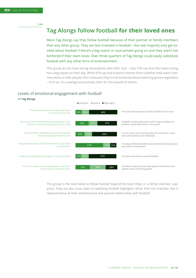**2.4.6** 

# **Tag Alongs follow football for their loved ones**

More Tag Alongs say they follow football because of their partner or family members than any other group. They are less invested in football – the vast majority only get excited about football if there's a big match or tournament going on and they aren't too bothered if their team loses. Over three quarters of Tag Alongs could easily substitute football with any other form of entertainment.

This group do not have strong associations with their club – only 15% say that their team losing has a big impact on their day. While 47% say that it doesn't bother them whether they watch matches alone or with people, this is because they're not bothered about watching games regardless – if it's on, it's a background activity often for the benefit of others.

## Levels of emotional engagement with football Levels of emotional engagement with football



This group is the least likely to follow football beyond the team they, or a family member, supports. They are also most open to watching football highlights rather than full matches; this is representative of their substitutional and passive relationship with football.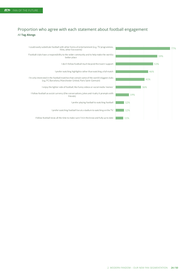#### Exhibit 26 Proportion who agree with each statement about football engagement All **Tag Alongs** Proportion who agree with each statement about football engagement

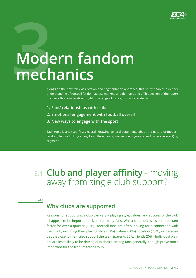

# Mode **Modern fandom mechanics**

Alongside the new fan classification and segmentation approach, this study enables a deeper understanding of football fandom across markets and demographics. This section of the report uncovers this comparative insight on a range of topics, primarily related to:

- **1. Fans' relationships with clubs**
- **2. Emotional engagement with football overall**
- **3. New ways to engage with the sport**

Each topic is analysed firstly overall, drawing general statements about the nature of modern fandom, before looking at any key differences by market, demographic and (where relevant) by segment.

# **3.1 Club and player affinity** – moving away from single club support?

**3.1.1**

# **Why clubs are supported**

Reasons for supporting a club can vary – playing style, values, and success of the club all appear to be important drivers for many fans. Whilst club success is an important factor for over a quarter (28%), football fans are often looking for a connection with their club, including their playing style (33%), values (30%), location (25%), or because people close to them also support the team (parents 26%, friends 20%). Individual players are least likely to be driving club choice among fans generally, though prove more important for the Icon Imitator group.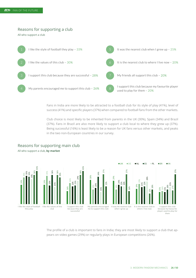#### Pogsons for support Reasons for supporting a club

All who support a club



Fans in India are more likely to be attracted to a football club for its style of play (41%), level of success (41%) and specific players (37%) when compared to football fans from the other markets.

Club choice is most likely to be inherited from parents in the UK (30%), Spain (34%) and Brazil (37%). Fans in Brazil are also more likely to support a club local to where they grew up (37%). Being successful (16%) is least likely to be a reason for UK fans versus other markets, and peaks in the two non-European countries in our survey.



#### Reasons for supporting main club

 $R$ All who support a club, by market All who support a club, **by market** 

> The profile of a club is important to fans in India; they are most likely to support a club that appears on video games (29%) or regularly plays in European competitions (26%).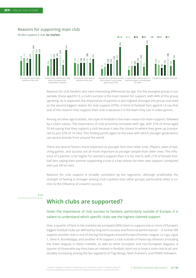### Reasons for supporting main club Reasons for supporting main club

All who support a club, **by market**  All who support a club, by market



Reasons for club fandom also sees interesting differences by age. For the youngest group in our sample, those aged 8-12, a club's success is the main reason for support, with 44% of this group agreeing. As is expected, the importance of parents is also highest amongst this group and cited as the second biggest reason for club support (37%). A third of football fans aged 8-12 say that one of the reasons they support their club is because it is the team they use in video games.

Among all other age brackets, the style of football is the main reason for team support, followed by a club's values. The importance of club proximity increases with age, with 31% of those aged 55-64 saying that they support a club because it was the closest to where they grew up (compared to just 22% of 16-24s). This finding points again to the ease with which younger generations can access brands from around the world.

There are several factors more important to younger fans than older ones. Players, ease of watching games, and success are all more important to younger people than older ones. The influence of a partner is far higher for women's support than it is for men's, with 21% of female football fans saying their partner supporting a club is a key reason for their own support, compared with just 6% of men.

Reasons for club support is broadly consistent by fan segments, although predictably the strength of feeling is stronger among Club Loyalists than other groups, particularly when it comes to the influence of a team's success.

**3.1.2** 

# **Which clubs are supported?**

#### Given the importance of club success to fandom, particularly outside of Europe, it is salient to understand which specific clubs see the highest claimed support.

Over a quarter of fans in the markets we surveyed (28%) claim to support one or more of Europe's biggest football clubs (as defined by long-term success and financial performance) <sup>1</sup> . A further 8% support another club in one of the big five leagues around Europe (Premier League, La Liga, Ligue 1, Serie A, Bundesliga), and another 41% support a club outside of these top divisions (including the lower leagues in these markets, as well as other European and non-European leagues). A quarter of those who say they have an interest in football claim not to have a main club at all, predictably increasing among the fan segments of Tag Alongs, Main Eventers, and FOMO followers.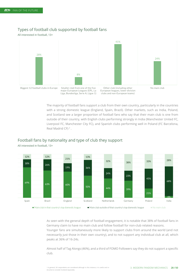#### Types of football club supported by football fans

All interested in football, 13+



The majority of football fans support a club from their own country, particularly in the countries with a strong domestic league (England, Spain, Brazil). Other markets, such as India, Poland, and Scotland see a larger proportion of football fans who say that their main club is one from outside of their country, with English clubs performing strongly in India (Manchester United FC, Liverpool FC, Manchester City FC), and Spanish clubs performing well in Poland (FC Barcelona, Real Madrid CF)<sup>2</sup>.

# Football fans by nationality and type of club they support Football fans by nationality and type of club they support



All interested in football, 13+

Main club in that country's top domestic league Main club outside of that country's top domestic league No main club

As seen with the general depth of football engagement, it is notable that 38% of football fans in Germany claim to have no main club and follow football for non-club related reasons. Younger fans are simultaneously more likely to support clubs from around the world (and not necessarily just those in their own country), and to not support any individual club at all, which peaks at 36% of 16-24s.

Almost half of Tag Alongs (46%), and a third of FOMO Followers say they do not support a specific club.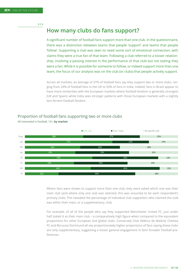**3.1.3** 

# **How many clubs do fans support?**

A significant number of football fans support more than one club. In the questionnaire, there was a distinction between teams that people 'support' and teams that people 'follow'. Supporting a club was seen to need some sort of emotional connection, with claims they were a true fan of that team. Following a club referred to a looser relationship, involving a passing interest in the performance of that club but not stating they were a fan. While it is possible for someone to follow, or indeed support more than one team, the focus of our analysis was on the club (or clubs) that people actively support.

Across all markets, an average of 37% of football fans say they support two or more clubs, ranging from 24% of football fans in the UK to 50% of fans in India. Indeed, fans in Brazil appear to have more similarities with the European markets where football fandom is generally strongest (UK and Spain), while India sees stronger patterns with those European markets with a slightly less fervent football fandom.

#### Proportion of football fans supporting two or more clubs Proportion of football fans supporting two or more clubs



All interested in football, 13+, by market All interested in football, 13+, **by market**

Where fans were shown to support more than one club, they were asked which one was their main club (and where only one club was selected, this was assumed to be each respondent's primary club). This revealed the percentage of individual club supporters who claimed the club was either their main, or a supplementary, club.

For example, of all of the people who say they supported Manchester United FC, just under half stated it as their main club - a comparatively high figure when compared to the equivalent proportions for other European and global clubs. Conversely Club Atlético de Madrid, Chelsea FC and Borussia Dortmund all see proportionately higher proportions of fans saying these clubs are only supplementary, suggesting a looser general engagement in fans' broader football preferences.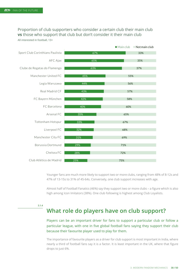#### Proportion of club supporters who consider a certain club their main club **vs** those who support that club but don't consider it their main club All interested in football, 13+



Younger fans are much more likely to support two or more clubs, ranging from 48% of 8-12s and 47% of 13-15s to 31% of 45-64s. Conversely, one club support increases with age.

Almost half of Football Fanatics (46%) say they support two or more clubs – a figure which is also high among Icon Imitators (38%). One club following is highest among Club Loyalists.

**3.1.4** 

## **What role do players have on club support?**

Players can be an important driver for fans to support a particular club or follow a particular league, with one in five global football fans saying they support their club because their favourite player used to play for them.

The importance of favourite players as a driver for club support is most important in India, where nearly a third of football fans say it is a factor. It is least important in the UK, where that figure drops to just 6%.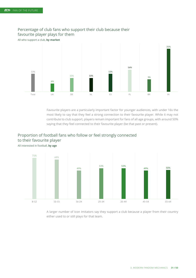

## favourite player plays for them Percentage of club fans who support their club because their

All who support a club, by market All who support a club, **by market**

Favourite players are a particularly important factor for younger audiences, with under 16s the most likely to say that they feel a strong connection to their favourite player. While it may not contribute to club support, players remain important for fans of all age groups, with around 50% saying that they feel connected to their favourite player (be that past or present).

#### Proportion of football fans who follow or feel strongly connected to their favourite player

All interested in football, **by age**



A larger number of Icon Imitators say they support a club because a player from their country either used to or still plays for that team.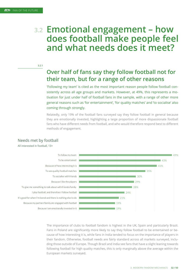# **3.2 Emotional engagement – how does football make people feel and what needs does it meet?**

**3.2.1** 

# **Over half of fans say they follow football not for their team, but for a range of other reasons**

'Following my team' is cited as the most important reason people follow football consistently across all age groups and markets. However, at 49%, this represents a motivation for just under half of football fans in the sample, with a range of other more general reasons such as 'for entertainment', 'for quality matches' and 'to socialise' also coming through strongly.

Relatedly, only 19% of the football fans surveyed say they follow football in general because they are emotionally invested, highlighting a large proportion of more dispassionate football fans who have different needs from football, and who would therefore respond best to different methods of engagement.

# Needs met by football

All interested in football, 13+



The importance of clubs to football fandom is highest in the UK, Spain and particularly Brazil. Fans in Poland are significantly more likely to say they follow football to be entertained or because of how interesting it is, while fans in India tended to focus on the importance of players in their fandom. Otherwise, football needs are fairly standard across all markets surveyed, including those outside of Europe. Though Brazil and India see fans that have a slight leaning towards following football for high quality matches, this is only marginally above the average within the European markets surveyed.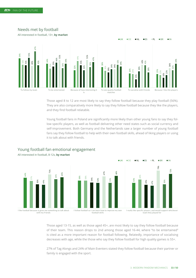

Needs met by football

All interested in football, 13+, **by market** 

Those aged 8 to 12 are most likely to say they follow football because they play football (56%). They are also comparatively more likely to say they follow football because they like the players, and they find football relatable.

Young football fans in Poland are significantly more likely than other young fans to say they follow specific players, as well as football delivering other need states such as social currency and self-improvement. Both Germany and the Netherlands saw a larger number of young football fans say they follow football to help with their own football skills, ahead of liking players or using it to talk about with friends.



#### Young football fan emotional engagement

Those aged 13-15, as well as those aged 45+, are most likely to say they follow football because of their team. This reason drops to 2nd among those aged 16-44, where "to be entertained" is cited as a more important reason for football following. Relatedly, importance of socialising decreases with age, while the those who say they follow football for high quality games is 55+.

27% of Tag Alongs and 24% of Main Eventers stated they follow football because their partner or family is engaged with the sport.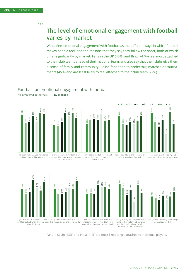# **The level of emotional engagement with football varies by market**

We define 'emotional engagement' with football as the different ways in which football makes people feel, and the reasons that they say they follow the sport, both of which differ significantly by market. Fans in the UK (46%) and Brazil (47%) feel most attached to their club teams ahead of their national team, and also say that their clubs give them a sense of family and community. Polish fans tend to prefer 'big' matches or tournaments (45%) and are least likely to feel attached to their club team (22%).

#### 44% 32% 34% 31% 35% 35% 42% 46% 36% 42% 46% 46% 45% 40% The team I follow gives me a sense of community, like a family I'd prefer to watch my team play against a 'big' team, even if they are less likely to win Exhibit 40

# All interested in football, 13+, **by market**

Football fan emotional engagement with football





when there's a big match or tournament

decisions about football I feel more attached to my club team than I do to my national team



Fans in Spain (43%) and India (41%) are most likely to get attached to individual players.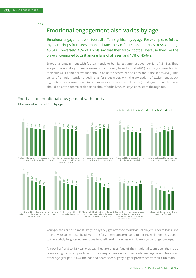**3.2.3** 

## **Emotional engagement also varies by age**

'Emotional engagement' with football differs significantly by age. For example, 'to follow my team' drops from 49% among all fans to 37% for 16-24s, and rises to 54% among 45-64s. Conversely, 40% of 13-24s say that they follow football because they like the players, compared to 29% among fans of all ages, and 17% of 45-64s.

Emotional engagement with football tends to be highest amongst younger fans (13-15s). They are particularly likely to feel a sense of community from football (49%), a strong connection to their club (41%) and believe fans should be at the centre of decisions about the sport (45%). This sense of emotion tends to decline as fans get older, with the exception of excitement about big matches or tournaments (which moves in the opposite direction), and agreement that fans should be at the centre of decisions about football, which stays consistent throughout.

#### Football fan emotional engagement with football

All interested in football, 13+, **by age** 



Younger fans are also most likely to say they get attached to individual players, a team loss ruins their day, or to be upset by player transfers; these concerns tend to decline with age. This points to the slightly heightened emotions football fandom carries with it amongst younger groups.

Almost half of 8 to 12-year olds say they are bigger fans of their national team over their club team – a figure which pivots as soon as respondents enter their early teenage years. Among all other age groups (16-64), the national team sees slightly higher preference vs their club team.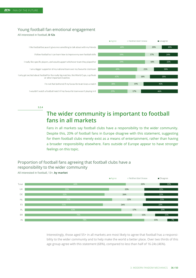#### Young football fan emotional engagement Young football fan emotional engagement

All interested in football, 8-12s All interested in football, **8-12s**



**3.2.4**

# **The wider community is important to football fans in all markets**

Fans in all markets say football clubs have a responsibility to the wider community. Despite this, 20% of football fans in Europe disagree with this statement, suggesting for them football clubs merely exist as a means of entertainment, rather than having a broader responsibility elsewhere. Fans outside of Europe appear to have stronger feelings on this topic.

#### responsibility to the wider community All interested in football, 13+, by market All interested in football, 13+, **by market** Proportion of football fans agreeing that football clubs have a

57% 51% 70% 78%  $220/$ 23% 26% 22% 26% 17% 15% 15% 12% 22% 22% 21% 23% 20% 15% 7% Total UK DE NL ES PL BR IN  $\blacksquare$  Agree  $\blacksquare$  Neither/don't know  $\blacksquare$  Disagree

> Interestingly, those aged 55+ in all markets are most likely to agree that football has a responsibility to the wider community and to help make the world a better place. Over two thirds of this age group agree with this statement (68%), compared to less than half of 16-24s (46%).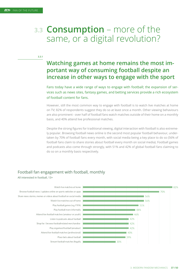# **3.3 Consumption** – more of the same, or a digital revolution?

**3.3.1** 

# **Watching games at home remains the most important way of consuming football despite an increase in other ways to engage with the sport**

Fans today have a wide range of ways to engage with football; the expansion of services such as news sites, fantasy games, and betting services provide a rich ecosystem of football content for fans.

However, still the most common way to engage with football is to watch live matches at home on TV; 82% of respondents suggest they do so at least once a month. Other viewing behaviours are also prominent - over half of football fans watch matches outside of their home on a monthly basis, and 40% attend live professional matches.

Despite the strong figures for traditional viewing, digital interaction with football is also extremely popular. Browsing football news online is the second most popular football behaviour, undertaken by 70% of football fans every month, with social media being a key place to do so (56% of football fans claim to share stories about football every month on social media). Football games and podcasts also come through strongly, with 51% and 42% of global football fans claiming to do so on a monthly basis respectively.

#### Football fan engagement with football, monthly

All interested in football, 13+

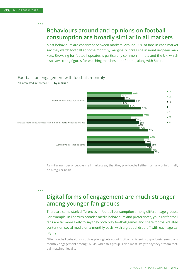# **Behaviours around and opinions on football consumption are broadly similar in all markets**

Most behaviours are consistent between markets. Around 80% of fans in each market say they watch football at home monthly, marginally increasing in non-European markets. Browsing for football updates is particularly common in India and the UK, which also saw strong figures for watching matches out of home, along with Spain.

## Football fan engagement with football, monthly Football fan engagement with football, monthly

All interested in football, 13+, by market All interested in football, 13+, **by market**



A similar number of people in all markets say that they play football either formally or informally on a regular basis.

**3.3.3** 

# **Digital forms of engagement are much stronger among younger fan groups**

There are some stark differences in football consumption among different age groups. For example, in line with broader media behaviours and preferences, younger football fans are far more likely to say they both play football games and share football-related content on social media on a monthly basis, with a gradual drop off with each age category.

Other football behaviours, such as placing bets about football or listening to podcasts, see strong monthly engagement among 16-34s, while this group is also most likely to say they stream football matches illegally.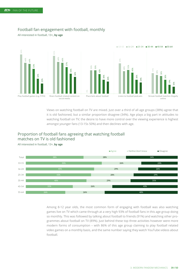

#### Football fan engagement with football, monthly

 $\overline{a}$ All interested in football, 13+ All interested in football, 13+**, by age**

> Views on watching football on TV are mixed. Just over a third of all age groups (38%) agree that it is old fashioned, but a similar proportion disagree (34%). Age plays a big part in attitudes to watching football on TV; the desire to have more control over the viewing experience is highest amongst younger fans (13-15s 50%) and then declines with age.

## matches on TV is old fashioned Proportion of football fans agreeing that watching football

All interested in football, 13+, by age All interested in football, 13+, **by age**



Among 8-12 year olds, the most common form of engaging with football was also watching games live on TV which came through at a very high 93% of football fans in this age group doing so monthly. This was followed by talking about football to friends (91%) and watching other programmes about football on TV (89%). Just behind these top three activities however were more modern forms of consumption – with 86% of this age group claiming to play football related video games on a monthly basis, and the same number saying they watch YouTube videos about football.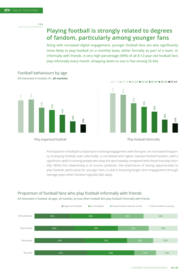**3.3.4** 

# **Playing football is strongly related to degrees of fandom, particularly among younger fans**

Along with increased digital engagement, younger football fans are also significantly more likely to play football on a monthly basis, either formally as part of a team, or informally with friends. A very high percentage (90%) of all 8-12-year-old football fans play informally every month, dropping down to one in five among 55-64s. Football behaviours by age



#### Football behaviours by age All interested in football, 8+, **all markets**



 $\blacksquare$  8-12  $\blacksquare$  13-15  $\blacksquare$  16-24  $\blacksquare$  25-34  $\blacksquare$  35-44  $\blacksquare$  45-54  $\blacksquare$  55-64

Participation in football is important in driving engagement with the sport. An increased frequency of playing football, even informally, is correlated with higher claimed football fandom, with a significant uplift in among people who play the sport weekly compared with those that play monthly. While this relationship is of course symbiotic, the importance of having opportunities to play football, particularly for younger fans, is vital in ensuring longer term engagement through teenage years when fandom typically falls away.

# Proportion of football fans who play football informally with friends Proportion of football fans who play football informally with friends

All interested in football, all ages, all markets, by how often football fans play football informally with friends

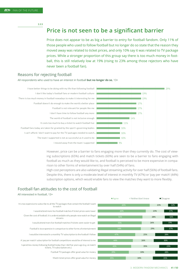**3.3.5** 

# **Price is not seen to be a significant barrier**

Price does not appear to be as big a barrier to entry for football fandom. Only 11% of those people who used to follow football but no longer do so state that the reason they moved away was related to ticket prices, and only 10% say it was related to TV package prices. While a stronger proportion of this group say there is too much money in football, this is still relatively low at 19% (rising to 23% among those rejectors who have never been a football fan).

#### **Reasons for rejecting football** Reasons for rejecting football but no longer and  $\sim$

All respondents who used to have an interest in football **but no longer do so**, 13+

I moved away from the team I supported The team I supported is not as successful as it used to be I can't afford / don't want to pay for the TV packages needed to watch.. Football fans today are taken for granted by the sport's governing bodies It costs too much to buy a ticket to watch football live The world of football is not inclusive enough I don't have time to follow football any more Football is not relevant for people like me Football doesn't do enough to make the world a better place There is too much money in football nowadays to make it interesting for me I don't like today's football fans or modern football culture I have better things to be doing with my life than following football



However, price can be a barrier to fans engaging more than they currently do. The cost of viewing subscriptions (65%) and match tickets (60%) are seen to be a barrier to fans engaging with football as much as they would like to, and football is perceived to be more expensive in comparison to other forms of entertainment by over half (54%) of fans.

High cost perceptions are also validating illegal streaming activity for over half (56%) of football fans. Despite this, there is only a moderate level of interest in monthly TV (47%) or 'pay per match' (44%) subscription options, which would enable fans to view the matches they want to more flexibly.

## Football fan attitudes to the cost of football Football fan attitudes to the cost of football

#### All interested in football, 13+ All interested in football, 13+

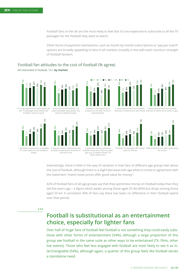Football fans in the UK are the most likely to feel that it's too expensive to subscribe to all the TV packages for the football they want to watch.

Other forms of payment mechanisms, such as month-by-month subscriptions or 'pay per match' options are broadly appealing to fans in all markets, broadly in line with each country's strength of football fandom.

#### Football fan attitudes to the cost of football (% agree)

All interested in football, 13+, **by market** All interested in football, 13+, **by market** 



Interestingly, there is little in the way of variation in how fans of different age groups feel about the cost of football, although there is a slight decrease with age when it comes to agreement with the statement "match ticket prices offer good value for money".

42% of football fans of all age groups say that they spend less money on football today than they did five years ago – a figure which peaks among those aged 25-44 (46%) but drops among those aged 55-64. A consistent 30% of fans say there has been no difference in their football spend over that period.

**3.3.6** 

# **Football is substitutional as an entertainment choice, especially for lighter fans**

Over half of 'huge' fans of football feel football is not something they could easily substitute with other forms of entertainment (54%), although a large proportion of this group see football in the same suite as other ways to be entertained (TV, films, other live events). Those who feel less engaged with football are most likely to see it as interchangeable (54%), although again, a quarter of this group feels like football serves a standalone need.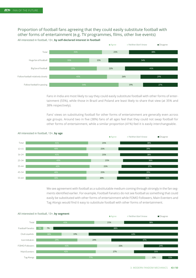Proportion of football fans agreeing that they could easily substitute football with other forms of entertainment (e.g. TV programmes, films, other live events) All interested in football, 13+, **by self-declared interest in football**



Fans in India are most likely to say they could easily substitute football with other forms of entertainment (55%), while those in Brazil and Poland are least likely to share that view (at 35% and 38% respectively).

Fans' views on substituting football for other forms of entertainment are generally even across age groups. Around two in five (38%) fans of all ages feel that they could not swap football for other forms of entertainment, while a similar proportion (41%) feel it is easily interchangeable.



All interested in football, 13+, **by age**

Proportion of formation of the that they couldn't analysis of the second that something that could easily be substituted with other forms of entertainment while FOMO Followers, Main Eventers and Tag Alongs would find it easy to substitute football with other forms of entertainment. We see agreement with football as a substitutable medium coming through strongly in the fan segments identified earlier. For example, Football Fanatics do not see football as something that could

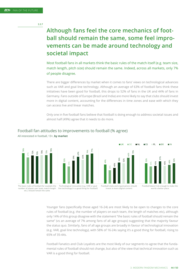# **Although fans feel the core mechanics of football should remain the same, some feel improvements can be made around technology and societal impact**

Most football fans in all markets think the basic rules of the match itself (e.g. team size, match length, pitch size) should remain the same. Indeed, across all markets, only 7% of people disagree.

There are bigger differences by market when it comes to fans' views on technological advances such as VAR and goal line technology. Although an average of 63% of football fans think these initiatives have been good for football, this drops to 52% of fans in the UK and 44% of fans in Germany. Fans outside of Europe (Brazil and India) are more likely to say that clubs should invest more in digital content, accounting for the differences in time zones and ease with which they can access live and linear matches.

Only one in five football fans believe that football is doing enough to address societal issues and almost half (49%) agree that it needs to do more.



number of players per team, match length etc.) should remain the same

#### Football fan attitudes to improvements to football (% agree)

All interested in football, 13+, **by market** 

59% 69% 61% 74% 77% Technological innovation (e.g. VAR or goal

line technology) is a good thing for football)

49% 52% 34% 44% 40% 45% 54% 57% 52% 45% 66% 48% 73% 52% Football clubs and organisations should

UK DE NL ES PL BR IN

invest in more digital content



Younger fans (specifically those aged 16-24) are most likely to be open to changes to the core rules of football (e.g. the number of players on each team, the length of matches etc), although only 14% of this group disagree with the statement "the basic rules of football should remain the same" (vs an average of 7% among fans of all age groups) suggesting that the majority favour the status quo. Similarly, fans of all age groups are broadly in favour of technological innovation (e.g. VAR, goal line technology), with 58% of 16-24s saying it's a good thing for football, rising to 65% of 35-44s.

Football Fanatics and Club Loyalists are the most likely of our segments to agree that the fundamental rules of football should not change, but also of the view that technical innovation such as VAR is a good thing for football.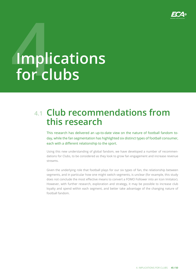

# **4 Implications for clubs**

# **Club recommendations from 4.1 this research**

This research has delivered an up-to-date view on the nature of football fandom today, while the fan segmentation has highlighted six distinct types of football consumer, each with a different relationship to the sport.

Using this new understanding of global fandom, we have developed a number of recommendations for Clubs, to be considered as they look to grow fan engagement and increase revenue streams.

Given the underlying role that football plays for our six types of fan, the relationship between segments, and in particular how one might switch segments, is unclear (for example, this study does not conclude the most effective means to convert a FOMO Follower into an Icon Imitator). However, with further research, exploration and strategy, it may be possible to increase club loyalty and spend within each segment, and better take advantage of the changing nature of football fandom.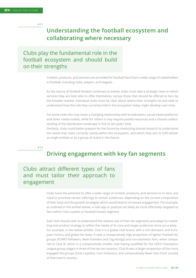**4.1.1**

# **Understanding the football ecosystem and collaborating where necessary**

Clubs play the fundamental role in the football ecosystem and should build on their strengths

> Content, products, and services are provided for football fans from a wide range of stakeholders in football, including clubs, players, and leagues.

> As the nature of football fandom continues to evolve, clubs must take a strategic view on which services they are best able to offer themselves, versus those that should be offered to fans by the broader market. Individual clubs must be clear about where their strengths lie and seek to understand how the role they currently hold in the ecosystem today might develop over time.

> For some clubs this may mean a changing relationship with broadcasters, social media platforms and other media outlets, while for others it may require pooled resources and a shared understanding of the distribution landscape in five to ten years' time.

> Similarly, clubs could better prepare for the future by conducting shared research to understand the needs that clubs currently satisfy within this ecosystem, and which they aim to fulfil (either as single entities or as a group of clubs) in the future.

**4.1.2** 

# **Driving engagement with key fan segments**

## Clubs attract different types of fans and must tailor their approach to engagement

Clubs have the potential to offer a wide range of content, products, and services to its fans, but need to prioritise certain offerings to certain audiences, depending on the current composition of their base and the growth strategies which would lead to increased engagement. For example, as outlined in the exhibit below, a club app or podcast are likely be most effectively targeted to fans within Club Loyalist or Football Fanatic segment.

Each club should seek to understand the relative size of their fan segments and adapt its marketing and product strategy to reflect the needs of its core and target audiences more accurately. For example, in the below exhibit, Club A is a global club brand, with a rich domestic and European history and global fan base. It sees a comparatively high proportion of lighter football fan groups (FOMO Followers, Main Eventers and Tag Alongs) and non-domestic fans, when compared to Club B, which is a comparatively smaller club having qualified for the UEFA Champions League group stages in three of the last ten seasons. Club B sees a larger proportion of the more engaged fan groups (Club Loyalists, Icon Imitators), and comparatively fewer fans from outside of that team's country.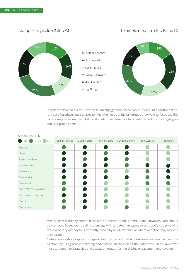#### 15% 16% 13% 26% 18% 12% ■ Football Fanatics Club Loyalists **I** Icon Imitators FOMO Followers Main Eventers ■ Tag Alongs 15% 23% 16% 23% 14% 8% Example large club (Club A) Example medium club (Club B)

In order to drive an overall increase in fan engagement, these two clubs should prioritise a different set of products and services to meet the needs of the fan groups they want to focus on. This could range from match tickets and stadium experiences to online content such as highlights and OTT propositions.

| .<br>$\Box$ High  | Medium (<br>Low            | <b>Football Fanatics</b> | Club Loyalists | Icon Imitators | FOMO Followers | Main Eventers | Tag Alongs |
|-------------------|----------------------------|--------------------------|----------------|----------------|----------------|---------------|------------|
| Highlights        |                            |                          |                |                |                |               |            |
| <b>News</b>       |                            |                          |                |                |                |               |            |
| Player interviews |                            |                          |                |                |                |               |            |
| Match tickets     |                            |                          |                |                |                |               |            |
| Stadium tour      |                            |                          |                |                |                |               |            |
| Merchandise       |                            |                          |                |                |                |               |            |
| Membership        |                            |                          |                |                |                |               |            |
|                   | Club OTT / TV subscription |                          |                |                |                |               |            |
|                   | Live preseason matches     |                          |                |                |                |               |            |
| Club app          |                            |                          |                |                |                |               |            |
| Club podcast      |                            |                          |                |                |                |               |            |

#### Size of opportunity

Most clubs will already offer at least some of these products to their fans. However, each should be evaluated based on its ability to engage with targeted fan types, so as to avoid super-serving those who may already be sufficiently served by any given club, or where adoption may be close to saturation.

Clubs are also able to apply this segmentation approach to their direct-to-consumer fan communication, by using profile matching and surveys on their own CRM databases. This allows even more targeted fan strategies and activation routes, further driving engagement and revenue.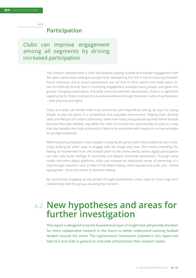**4.1.3**

## **Participation**

Clubs can improve engagement among all segments by driving increased participation

> The research demonstrates a clear link between playing football and broader engagement with the sport, particularly amongst younger fans. Maintaining this link is key to ensuring football's future relevancy, and to ensure generations are not 'lost' to other sports and media types. Given the difficulty brands face in increasing engagement amongst young people, and given this groups' changing expectations of brands and entertainment destinations, there is a significant opportunity for Clubs to attract this lucrative audience through improved routes of participation – both physical and digital.

> Clubs as brands can benefit their local community (and beyond) by setting up ways for young people to play the game in a competitive and enjoyable environment, helping them develop skills and feel part of a club's community. Given how many young people say they follow football because they play football, any ability for clubs to increase the opportunities to play (in a way that also benefits the clubs as brands) is likely to be associated with long term success amongst its younger audiences.

> While football participation relies largely on playing the game itself, these audiences are increasingly looking for other ways to engage with the things they love. This means extending the feeling of involvement from the football pitch to the online world, where digital participation can also help foster feelings of ownership and deeper emotional attachment. Through social media and other digital platforms, clubs can increase an individual's sense of ownership of a club through initiatives such as Man of the Match voting, online quizzes and polls, and - where appropriate - direct fan access to decision making.

> By successfully engaging young people through participation, clubs stand to drive long term relationships with this group, securing their fandom.

# **4.2 New hypotheses and areas for further investigation**

This report is designed to be the foundational layer of insight that will provide the basis for more collaborative research in the future to better understand evolving football fandom around the world. The segmentation framework outlined in this report will help ECA and clubs in general to articulate and prioritise their research needs.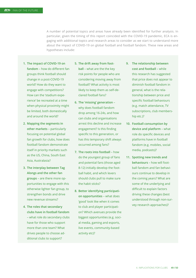A number of potential topics and areas have already been identified for further analysis. In particular, given the timing of this report coincided with the COVID-19 pandemic, ECA is engaging with additional topics and research areas to consider as we start to understand more about the impact of COVID-19 on global football and football fandom. These new areas and hypotheses include:

- **1. The impact of COVID-19 on fandom** – how do different fan groups think football should change in a post-COVID-19 world? How do they want to engage with competitions? How can the 'stadium experience' be recreated at a time when physical proximity might be limited, both domestically and around the world?
- **2. Mapping the segments in other markets** – particularly focusing on potential global fan growth for clubs, how does football fandom demonstrate itself in priority markets such as the US, China, South East Asia, Australasia?
- **3. The interplay between Tag Alongs and the other fan groups** – are there more opportunities to engage with this otherwise lighter fan group, to strengthen bonds and drive new revenue streams?
- **4. The roles that secondary clubs have in football fandom** – what role do secondary clubs have for those who support more than one team? What drives people to choose additional clubs to support?
- **5. The drift away from football** – what are the the key risk points for people who are considering moving away from football? What activity is most likely to keep them as self-declared football fans?
- **6. The 'missing' generation**  why does football fandom drop among 16-24s, and how can clubs and organisations arrest this decline and increase engagement? Is this finding specific to this generation, or has this temporary shift always occurred among fans?
- **7. The roots into football**  how do the youngest group of fans and potential fans (those aged 8-12) initially develop the football habit, and which levers should clubs pull to make sure the habit sticks?
- **8. Better identifying participation opportunities** – what does 'good' look like when it comes to club and player participation? Which avenues provide the biggest opportunities (e.g. social media, gaming and esports, live events, community-based activity etc)?
- **9. The relationship between cost and football** – while this research has suggested that price does not appear to diminish football fandom in general, what is the relationship between price and specific football behaviours (e.g. match attendance, TV subscriptions, club membership etc.)?
- **10. Football consumption by device and platform** – what role do specific devices and platforms have in football fandom (e.g. mobiles, social media, podcasts)?
- **11. Spotting new trends and behaviours** – how will football fandom and fan behaviours continue to develop in the coming years? What are some of the underlying and difficult to explain factors driving these changes (best understood through non-survey research approaches)?